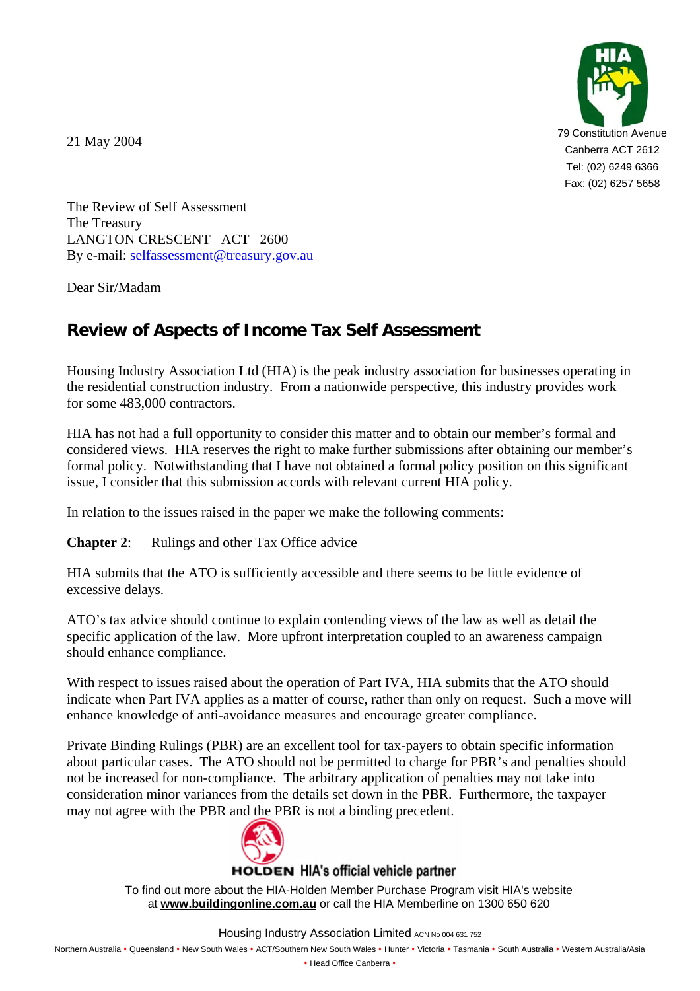21 May 2004



The Review of Self Assessment The Treasury LANGTON CRESCENT ACT 2600 By e-mail: [selfassessment@treasury.gov.au](mailto:selfassessment@treasury.gov.au)

Dear Sir/Madam

## **Review of Aspects of Income Tax Self Assessment**

Housing Industry Association Ltd (HIA) is the peak industry association for businesses operating in the residential construction industry. From a nationwide perspective, this industry provides work for some 483,000 contractors.

HIA has not had a full opportunity to consider this matter and to obtain our member's formal and considered views. HIA reserves the right to make further submissions after obtaining our member's formal policy. Notwithstanding that I have not obtained a formal policy position on this significant issue, I consider that this submission accords with relevant current HIA policy.

In relation to the issues raised in the paper we make the following comments:

**Chapter 2:** Rulings and other Tax Office advice

HIA submits that the ATO is sufficiently accessible and there seems to be little evidence of excessive delays.

ATO's tax advice should continue to explain contending views of the law as well as detail the specific application of the law. More upfront interpretation coupled to an awareness campaign should enhance compliance.

With respect to issues raised about the operation of Part IVA, HIA submits that the ATO should indicate when Part IVA applies as a matter of course, rather than only on request. Such a move will enhance knowledge of anti-avoidance measures and encourage greater compliance.

Private Binding Rulings (PBR) are an excellent tool for tax-payers to obtain specific information about particular cases. The ATO should not be permitted to charge for PBR's and penalties should not be increased for non-compliance. The arbitrary application of penalties may not take into consideration minor variances from the details set down in the PBR. Furthermore, the taxpayer may not agree with the PBR and the PBR is not a binding precedent.



## **HOLDEN HIA's official vehicle partner**

To find out more about the HIA-Holden Member Purchase Program visit HIA's website at www.buildingonline.com.au or call the HIA Memberline on 1300 650 620

Housing Industry Association Limited ACN No 004 631 752

Northern Australia • Queensland • New South Wales • ACT/Southern New South Wales • Hunter • Victoria • Tasmania • South Australia • Western Australia/Asia